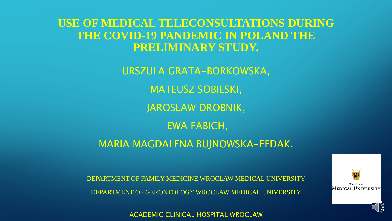**USE OF MEDICAL TELECONSULTATIONS DURING THE COVID-19 PANDEMIC IN POLAND THE PRELIMINARY STUDY.**

> URSZULA GRATA-BORKOWSKA, MATEUSZ SOBIESKI, JAROSŁAW DROBNIK, EWA FABICH,

MARIA MAGDALENA BUJNOWSKA-FEDAK.

DEPARTMENT OF FAMILY MEDICINE WROCLAW MEDICAL UNIVERSITY DEPARTMENT OF GERONTOLOGY WROCLAW MEDICAL UNIVERSITY

ACADEMIC CLINICAL HOSPITAL WROCLAW



 $\mathcal{O} \setminus \mathbb{Q}$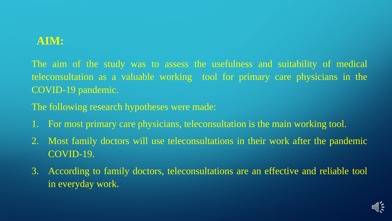## **AIM:**

The aim of the study was to assess the usefulness and suitability of medical teleconsultation as a valuable working tool for primary care physicians in the COVID-19 pandemic.

The following research hypotheses were made:

- 1. For most primary care physicians, teleconsultation is the main working tool.
- 2. Most family doctors will use teleconsultations in their work after the pandemic COVID-19.
- 3. According to family doctors, teleconsultations are an effective and reliable tool in everyday work.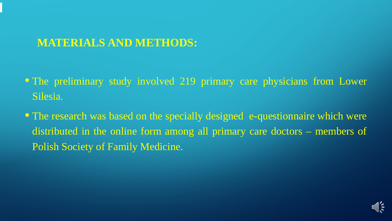# **MATERIALS AND METHODS:**

- The preliminary study involved 219 primary care physicians from Lower Silesia.
- The research was based on the specially designed e-questionnaire which were distributed in the online form among all primary care doctors – members of Polish Society of Family Medicine.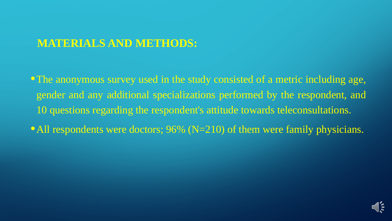## **MATERIALS AND METHODS:**

•The anonymous survey used in the study consisted of a metric including age, gender and any additional specializations performed by the respondent, and 10 questions regarding the respondent's attitude towards teleconsultations.

• All respondents were doctors; 96% (N=210) of them were family physicians.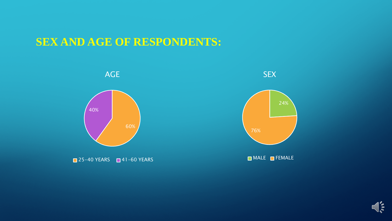## **SEX AND AGE OF RESPONDENTS:**